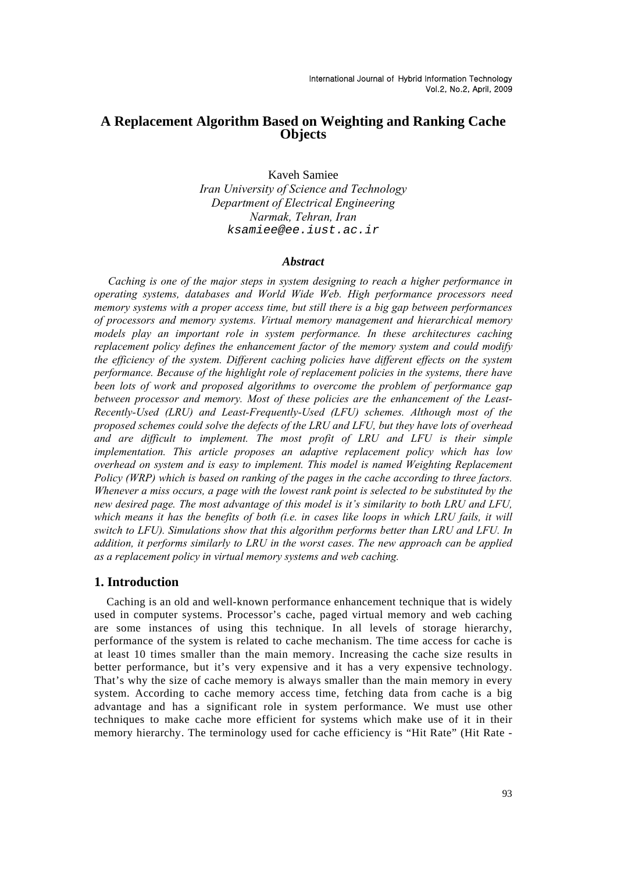# **A Replacement Algorithm Based on Weighting and Ranking Cache Objects**

Kaveh Samiee *Iran University of Science and Technology Department of Electrical Engineering Narmak, Tehran, Iran ksamiee@ee.iust.ac.ir*

### *Abstract*

 *Caching is one of the major steps in system designing to reach a higher performance in operating systems, databases and World Wide Web. High performance processors need memory systems with a proper access time, but still there is a big gap between performances of processors and memory systems. Virtual memory management and hierarchical memory models play an important role in system performance. In these architectures caching replacement policy defines the enhancement factor of the memory system and could modify the efficiency of the system. Different caching policies have different effects on the system performance. Because of the highlight role of replacement policies in the systems, there have been lots of work and proposed algorithms to overcome the problem of performance gap between processor and memory. Most of these policies are the enhancement of the Least-Recently-Used (LRU) and Least-Frequently-Used (LFU) schemes. Although most of the proposed schemes could solve the defects of the LRU and LFU, but they have lots of overhead*  and are difficult to implement. The most profit of LRU and LFU is their simple *implementation. This article proposes an adaptive replacement policy which has low overhead on system and is easy to implement. This model is named Weighting Replacement Policy (WRP) which is based on ranking of the pages in the cache according to three factors. Whenever a miss occurs, a page with the lowest rank point is selected to be substituted by the new desired page. The most advantage of this model is it's similarity to both LRU and LFU,*  which means it has the benefits of both *(i.e. in cases like loops in which LRU fails, it will switch to LFU). Simulations show that this algorithm performs better than LRU and LFU. In addition, it performs similarly to LRU in the worst cases. The new approach can be applied as a replacement policy in virtual memory systems and web caching.* 

## **1. Introduction**

Caching is an old and well-known performance enhancement technique that is widely used in computer systems. Processor's cache, paged virtual memory and web caching are some instances of using this technique. In all levels of storage hierarchy, performance of the system is related to cache mechanism. The time access for cache is at least 10 times smaller than the main memory. Increasing the cache size results in better performance, but it's very expensive and it has a very expensive technology. That's why the size of cache memory is always smaller than the main memory in every system. According to cache memory access time, fetching data from cache is a big advantage and has a significant role in system performance. We must use other techniques to make cache more efficient for systems which make use of it in their memory hierarchy. The terminology used for cache efficiency is "Hit Rate" (Hit Rate -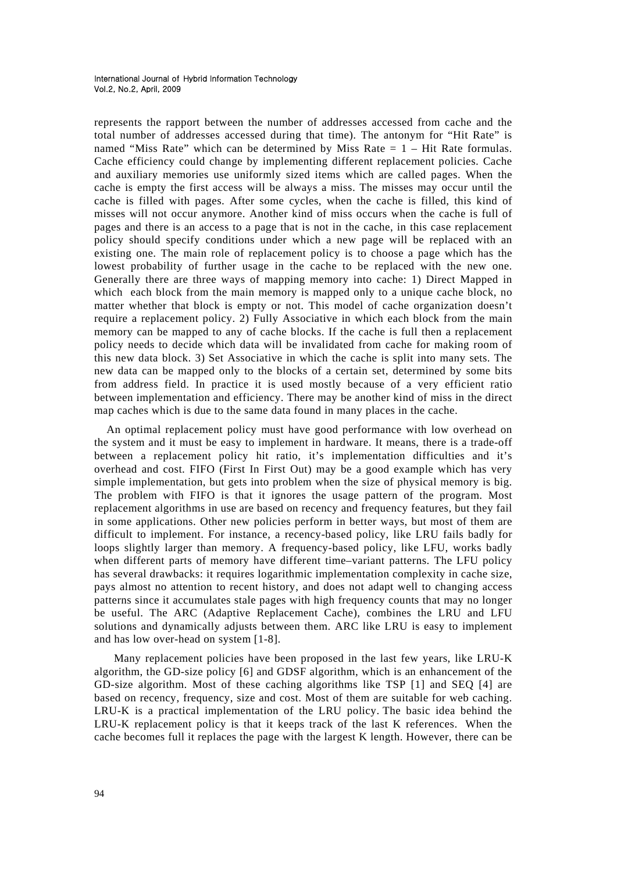represents the rapport between the number of addresses accessed from cache and the total number of addresses accessed during that time). The antonym for "Hit Rate" is named "Miss Rate" which can be determined by Miss Rate  $= 1 - H$ it Rate formulas. Cache efficiency could change by implementing different replacement policies. Cache and auxiliary memories use uniformly sized items which are called pages. When the cache is empty the first access will be always a miss. The misses may occur until the cache is filled with pages. After some cycles, when the cache is filled, this kind of misses will not occur anymore. Another kind of miss occurs when the cache is full of pages and there is an access to a page that is not in the cache, in this case replacement policy should specify conditions under which a new page will be replaced with an existing one. The main role of replacement policy is to choose a page which has the lowest probability of further usage in the cache to be replaced with the new one. Generally there are three ways of mapping memory into cache: 1) Direct Mapped in which each block from the main memory is mapped only to a unique cache block, no matter whether that block is empty or not. This model of cache organization doesn't require a replacement policy. 2) Fully Associative in which each block from the main memory can be mapped to any of cache blocks. If the cache is full then a replacement policy needs to decide which data will be invalidated from cache for making room of this new data block. 3) Set Associative in which the cache is split into many sets. The new data can be mapped only to the blocks of a certain set, determined by some bits from address field. In practice it is used mostly because of a very efficient ratio between implementation and efficiency. There may be another kind of miss in the direct map caches which is due to the same data found in many places in the cache.

An optimal replacement policy must have good performance with low overhead on the system and it must be easy to implement in hardware. It means, there is a trade-off between a replacement policy hit ratio, it's implementation difficulties and it's overhead and cost. FIFO (First In First Out) may be a good example which has very simple implementation, but gets into problem when the size of physical memory is big. The problem with FIFO is that it ignores the usage pattern of the program. Most replacement algorithms in use are based on recency and frequency features, but they fail in some applications. Other new policies perform in better ways, but most of them are difficult to implement. For instance, a recency-based policy, like LRU fails badly for loops slightly larger than memory. A frequency-based policy, like LFU, works badly when different parts of memory have different time–variant patterns. The LFU policy has several drawbacks: it requires logarithmic implementation complexity in cache size, pays almost no attention to recent history, and does not adapt well to changing access patterns since it accumulates stale pages with high frequency counts that may no longer be useful. The ARC (Adaptive Replacement Cache), combines the LRU and LFU solutions and dynamically adjusts between them. ARC like LRU is easy to implement and has low over-head on system [1-8].

 Many replacement policies have been proposed in the last few years, like LRU-K algorithm, the GD-size policy [6] and GDSF algorithm, which is an enhancement of the GD-size algorithm. Most of these caching algorithms like TSP [1] and SEQ [4] are based on recency, frequency, size and cost. Most of them are suitable for web caching. LRU-K is a practical implementation of the LRU policy. The basic idea behind the LRU-K replacement policy is that it keeps track of the last K references. When the cache becomes full it replaces the page with the largest K length. However, there can be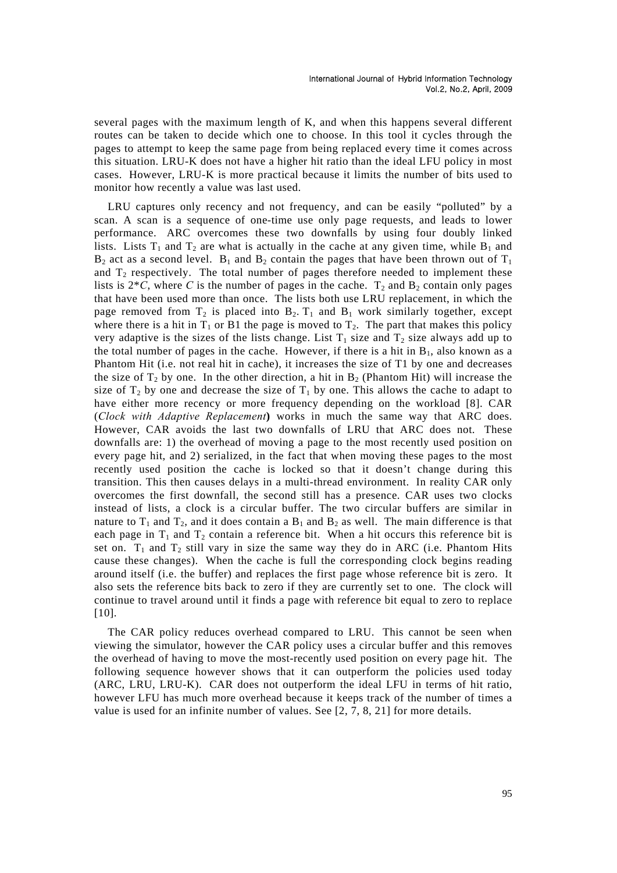several pages with the maximum length of K, and when this happens several different routes can be taken to decide which one to choose. In this tool it cycles through the pages to attempt to keep the same page from being replaced every time it comes across this situation. LRU-K does not have a higher hit ratio than the ideal LFU policy in most cases. However, LRU-K is more practical because it limits the number of bits used to monitor how recently a value was last used.

LRU captures only recency and not frequency, and can be easily "polluted" by a scan. A scan is a sequence of one-time use only page requests, and leads to lower performance. ARC overcomes these two downfalls by using four doubly linked lists. Lists  $T_1$  and  $T_2$  are what is actually in the cache at any given time, while  $B_1$  and  $B_2$  act as a second level.  $B_1$  and  $B_2$  contain the pages that have been thrown out of  $T_1$ and  $T_2$  respectively. The total number of pages therefore needed to implement these lists is  $2*C$ , where *C* is the number of pages in the cache.  $T_2$  and  $B_2$  contain only pages that have been used more than once. The lists both use LRU replacement, in which the page removed from  $T_2$  is placed into  $B_2$ .  $T_1$  and  $B_1$  work similarly together, except where there is a hit in  $T_1$  or B1 the page is moved to  $T_2$ . The part that makes this policy very adaptive is the sizes of the lists change. List  $T_1$  size and  $T_2$  size always add up to the total number of pages in the cache. However, if there is a hit in  $B<sub>1</sub>$ , also known as a Phantom Hit (i.e. not real hit in cache), it increases the size of T1 by one and decreases the size of  $T_2$  by one. In the other direction, a hit in  $B_2$  (Phantom Hit) will increase the size of  $T_2$  by one and decrease the size of  $T_1$  by one. This allows the cache to adapt to have either more recency or more frequency depending on the workload [8]. CAR (*Clock with Adaptive Replacement***)** works in much the same way that ARC does. However, CAR avoids the last two downfalls of LRU that ARC does not. These downfalls are: 1) the overhead of moving a page to the most recently used position on every page hit, and 2) serialized, in the fact that when moving these pages to the most recently used position the cache is locked so that it doesn't change during this transition. This then causes delays in a multi-thread environment. In reality CAR only overcomes the first downfall, the second still has a presence. CAR uses two clocks instead of lists, a clock is a circular buffer. The two circular buffers are similar in nature to  $T_1$  and  $T_2$ , and it does contain a  $B_1$  and  $B_2$  as well. The main difference is that each page in  $T_1$  and  $T_2$  contain a reference bit. When a hit occurs this reference bit is set on.  $T_1$  and  $T_2$  still vary in size the same way they do in ARC (i.e. Phantom Hits cause these changes). When the cache is full the corresponding clock begins reading around itself (i.e. the buffer) and replaces the first page whose reference bit is zero. It also sets the reference bits back to zero if they are currently set to one. The clock will continue to travel around until it finds a page with reference bit equal to zero to replace [10].

The CAR policy reduces overhead compared to LRU. This cannot be seen when viewing the simulator, however the CAR policy uses a circular buffer and this removes the overhead of having to move the most-recently used position on every page hit. The following sequence however shows that it can outperform the policies used today (ARC, LRU, LRU-K). CAR does not outperform the ideal LFU in terms of hit ratio, however LFU has much more overhead because it keeps track of the number of times a value is used for an infinite number of values. See [2, 7, 8, 21] for more details.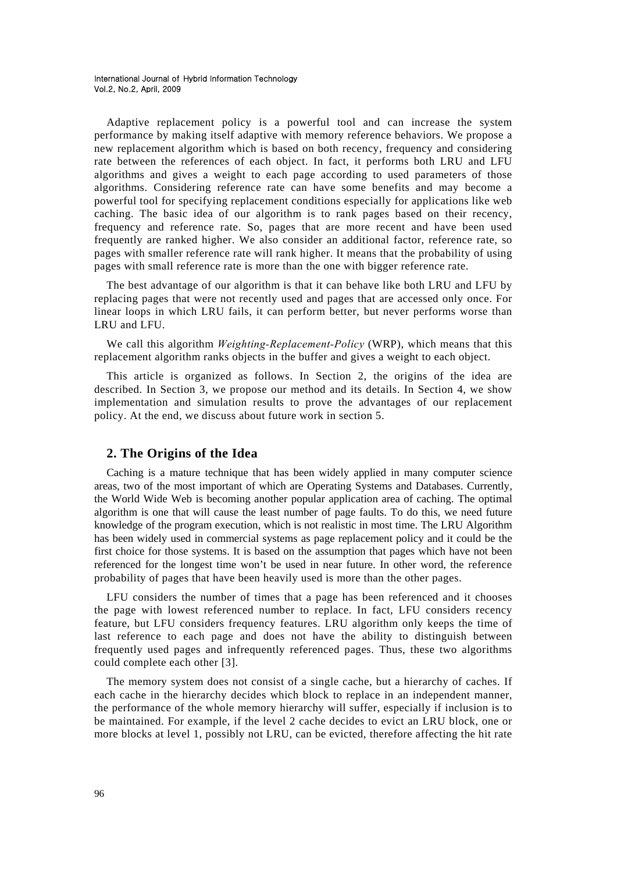Adaptive replacement policy is a powerful tool and can increase the system performance by making itself adaptive with memory reference behaviors. We propose a new replacement algorithm which is based on both recency, frequency and considering rate between the references of each object. In fact, it performs both LRU and LFU algorithms and gives a weight to each page according to used parameters of those algorithms. Considering reference rate can have some benefits and may become a powerful tool for specifying replacement conditions especially for applications like web caching. The basic idea of our algorithm is to rank pages based on their recency, frequency and reference rate. So, pages that are more recent and have been used frequently are ranked higher. We also consider an additional factor, reference rate, so pages with smaller reference rate will rank higher. It means that the probability of using pages with small reference rate is more than the one with bigger reference rate.

The best advantage of our algorithm is that it can behave like both LRU and LFU by replacing pages that were not recently used and pages that are accessed only once. For linear loops in which LRU fails, it can perform better, but never performs worse than LRU and LFU.

We call this algorithm *Weighting-Replacement-Policy* (WRP), which means that this replacement algorithm ranks objects in the buffer and gives a weight to each object.

This article is organized as follows. In Section 2, the origins of the idea are described. In Section 3, we propose our method and its details. In Section 4, we show implementation and simulation results to prove the advantages of our replacement policy. At the end, we discuss about future work in section 5.

## **2. The Origins of the Idea**

Caching is a mature technique that has been widely applied in many computer science areas, two of the most important of which are Operating Systems and Databases. Currently, the World Wide Web is becoming another popular application area of caching. The optimal algorithm is one that will cause the least number of page faults. To do this, we need future knowledge of the program execution, which is not realistic in most time. The LRU Algorithm has been widely used in commercial systems as page replacement policy and it could be the first choice for those systems. It is based on the assumption that pages which have not been referenced for the longest time won't be used in near future. In other word, the reference probability of pages that have been heavily used is more than the other pages.

LFU considers the number of times that a page has been referenced and it chooses the page with lowest referenced number to replace. In fact, LFU considers recency feature, but LFU considers frequency features. LRU algorithm only keeps the time of last reference to each page and does not have the ability to distinguish between frequently used pages and infrequently referenced pages. Thus, these two algorithms could complete each other [3].

The memory system does not consist of a single cache, but a hierarchy of caches. If each cache in the hierarchy decides which block to replace in an independent manner, the performance of the whole memory hierarchy will suffer, especially if inclusion is to be maintained. For example, if the level 2 cache decides to evict an LRU block, one or more blocks at level 1, possibly not LRU, can be evicted, therefore affecting the hit rate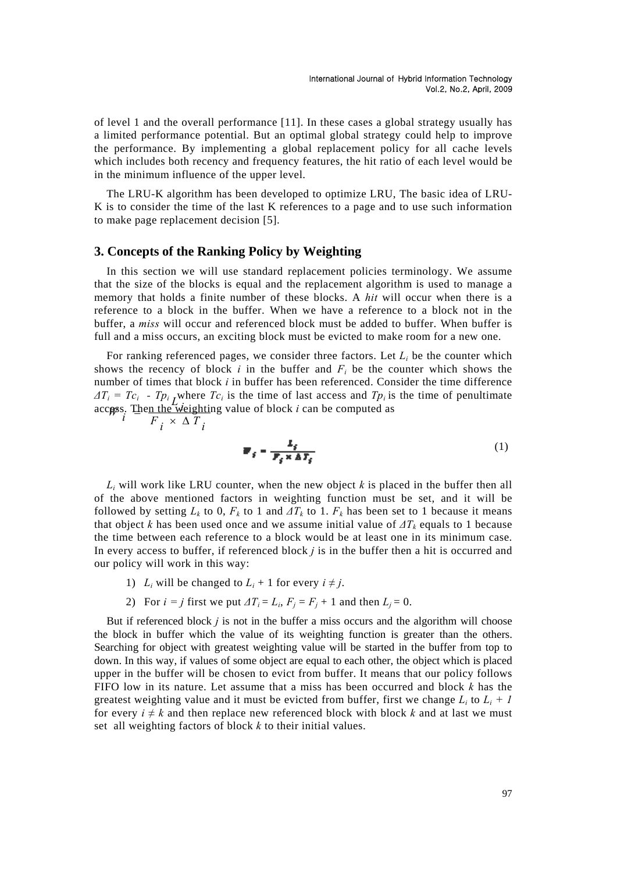of level 1 and the overall performance [11]. In these cases a global strategy usually has a limited performance potential. But an optimal global strategy could help to improve the performance. By implementing a global replacement policy for all cache levels which includes both recency and frequency features, the hit ratio of each level would be in the minimum influence of the upper level.

The LRU-K algorithm has been developed to optimize LRU, The basic idea of LRU-K is to consider the time of the last K references to a page and to use such information to make page replacement decision [5].

## **3. Concepts of the Ranking Policy by Weighting**

In this section we will use standard replacement policies terminology. We assume that the size of the blocks is equal and the replacement algorithm is used to manage a memory that holds a finite number of these blocks. A *hit* will occur when there is a reference to a block in the buffer. When we have a reference to a block not in the buffer, a *miss* will occur and referenced block must be added to buffer. When buffer is full and a miss occurs, an exciting block must be evicted to make room for a new one.

For ranking referenced pages, we consider three factors. Let *Li* be the counter which shows the recency of block  $i$  in the buffer and  $F_i$  be the counter which shows the number of times that block *i* in buffer has been referenced. Consider the time difference  $\Delta T_i = Tc_i$  -  $Tp_i$ <sub>*I*</sub> where  $Tc_i$  is the time of last access and  $Tp_i$  is the time of penultimate accpass. Then the weighting value of block *i* can be computed as  $F_i \times \Delta T_i$  $L^{\mathsf{w}}_{\mathsf{w}i}$  $\mathcal{L}$  *i*  $\downarrow$   $\downarrow$   $\downarrow$   $\downarrow$   $\downarrow$   $\downarrow$   $\downarrow$   $\downarrow$   $\downarrow$   $\downarrow$   $\downarrow$   $\downarrow$   $\downarrow$   $\downarrow$   $\downarrow$   $\downarrow$   $\downarrow$   $\downarrow$   $\downarrow$   $\downarrow$   $\downarrow$   $\downarrow$   $\downarrow$   $\downarrow$   $\downarrow$   $\downarrow$   $\downarrow$   $\downarrow$   $\downarrow$   $\downarrow$   $\downarrow$   $\downarrow$   $\downarrow$   $\downarrow$   $\downarrow$ 

$$
\mathbf{F}_{\hat{s}} = \frac{\mathbf{I}_{\hat{s}}}{\mathbf{F}_{\hat{s}} \times \mathbf{A} \mathbf{T}_{\hat{s}}} \tag{1}
$$

*Li* will work like LRU counter, when the new object *k* is placed in the buffer then all of the above mentioned factors in weighting function must be set, and it will be followed by setting  $L_k$  to 0,  $F_k$  to 1 and  $\Delta T_k$  to 1.  $F_k$  has been set to 1 because it means that object *k* has been used once and we assume initial value of  $\Delta T_k$  equals to 1 because the time between each reference to a block would be at least one in its minimum case. In every access to buffer, if referenced block *j* is in the buffer then a hit is occurred and our policy will work in this way:

- 1) *L<sub>i</sub>* will be changed to  $L_i + 1$  for every  $i \neq j$ .
- 2) For  $i = j$  first we put  $\Delta T_i = L_i$ ,  $F_j = F_j + 1$  and then  $L_j = 0$ .

But if referenced block *j* is not in the buffer a miss occurs and the algorithm will choose the block in buffer which the value of its weighting function is greater than the others. Searching for object with greatest weighting value will be started in the buffer from top to down. In this way, if values of some object are equal to each other, the object which is placed upper in the buffer will be chosen to evict from buffer. It means that our policy follows FIFO low in its nature. Let assume that a miss has been occurred and block *k* has the greatest weighting value and it must be evicted from buffer, first we change  $L_i$  to  $L_i + I$ for every  $i \neq k$  and then replace new referenced block with block k and at last we must set all weighting factors of block *k* to their initial values.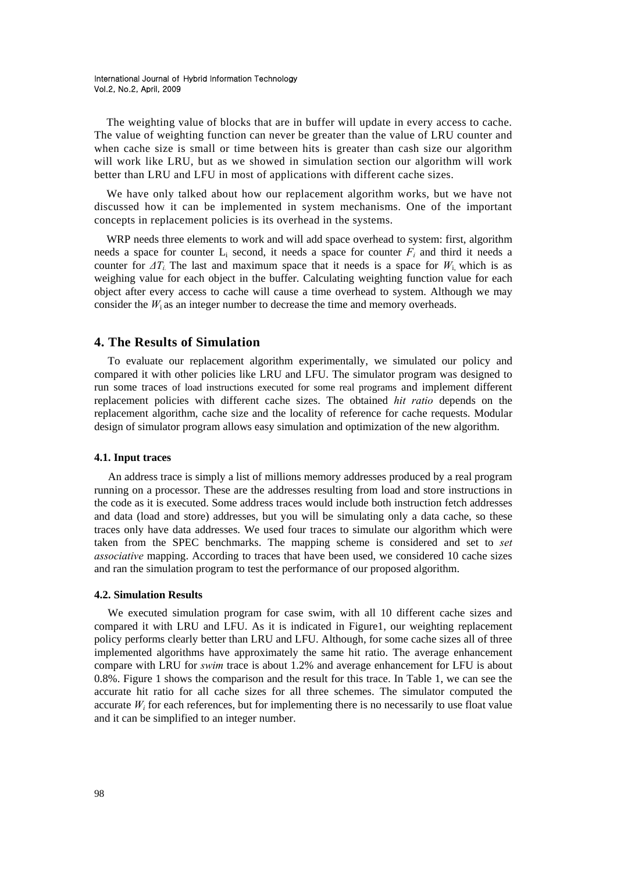The weighting value of blocks that are in buffer will update in every access to cache. The value of weighting function can never be greater than the value of LRU counter and when cache size is small or time between hits is greater than cash size our algorithm will work like LRU, but as we showed in simulation section our algorithm will work better than LRU and LFU in most of applications with different cache sizes.

We have only talked about how our replacement algorithm works, but we have not discussed how it can be implemented in system mechanisms. One of the important concepts in replacement policies is its overhead in the systems.

WRP needs three elements to work and will add space overhead to system: first, algorithm needs a space for counter  $L_i$  second, it needs a space for counter  $F_i$  and third it needs a counter for  $\Delta T_i$ . The last and maximum space that it needs is a space for  $W_i$ , which is as weighing value for each object in the buffer. Calculating weighting function value for each object after every access to cache will cause a time overhead to system. Although we may consider the  $W_i$  as an integer number to decrease the time and memory overheads.

## **4. The Results of Simulation**

To evaluate our replacement algorithm experimentally, we simulated our policy and compared it with other policies like LRU and LFU. The simulator program was designed to run some traces of load instructions executed for some real programs and implement different replacement policies with different cache sizes. The obtained *hit ratio* depends on the replacement algorithm, cache size and the locality of reference for cache requests. Modular design of simulator program allows easy simulation and optimization of the new algorithm.

### **4.1. Input traces**

An address trace is simply a list of millions memory addresses produced by a real program running on a processor. These are the addresses resulting from load and store instructions in the code as it is executed. Some address traces would include both instruction fetch addresses and data (load and store) addresses, but you will be simulating only a data cache, so these traces only have data addresses. We used four traces to simulate our algorithm which were taken from the SPEC benchmarks. The mapping scheme is considered and set to *set associative* mapping. According to traces that have been used, we considered 10 cache sizes and ran the simulation program to test the performance of our proposed algorithm.

### **4.2. Simulation Results**

We executed simulation program for case swim, with all 10 different cache sizes and compared it with LRU and LFU. As it is indicated in Figure1, our weighting replacement policy performs clearly better than LRU and LFU. Although, for some cache sizes all of three implemented algorithms have approximately the same hit ratio. The average enhancement compare with LRU for *swim* trace is about 1.2% and average enhancement for LFU is about 0.8%. Figure 1 shows the comparison and the result for this trace. In Table 1, we can see the accurate hit ratio for all cache sizes for all three schemes. The simulator computed the accurate  $W_i$  for each references, but for implementing there is no necessarily to use float value and it can be simplified to an integer number.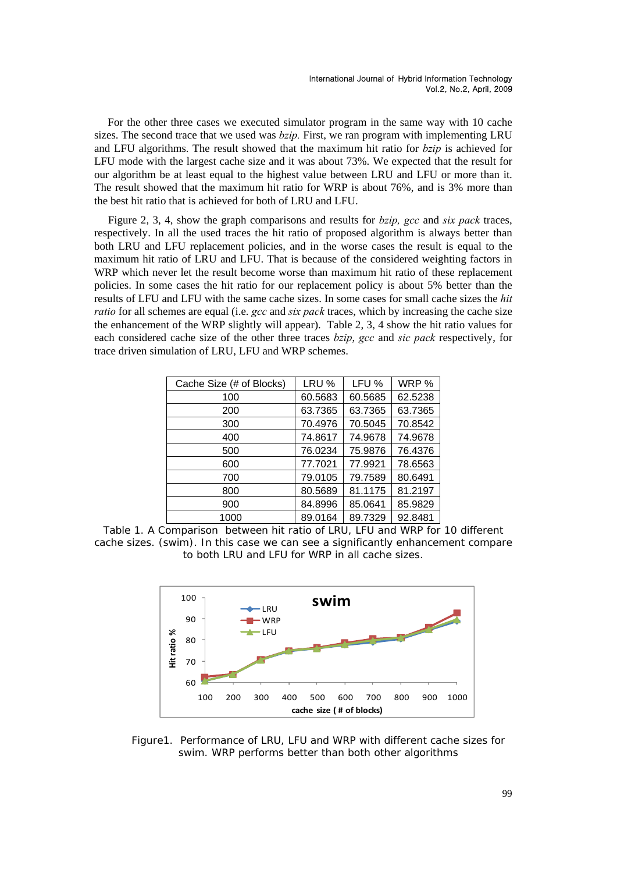For the other three cases we executed simulator program in the same way with 10 cache sizes. The second trace that we used was *bzip.* First, we ran program with implementing LRU and LFU algorithms. The result showed that the maximum hit ratio for *bzip* is achieved for LFU mode with the largest cache size and it was about 73%. We expected that the result for our algorithm be at least equal to the highest value between LRU and LFU or more than it. The result showed that the maximum hit ratio for WRP is about 76%, and is 3% more than the best hit ratio that is achieved for both of LRU and LFU.

Figure 2, 3, 4, show the graph comparisons and results for *bzip, gcc* and *six pack* traces, respectively. In all the used traces the hit ratio of proposed algorithm is always better than both LRU and LFU replacement policies, and in the worse cases the result is equal to the maximum hit ratio of LRU and LFU. That is because of the considered weighting factors in WRP which never let the result become worse than maximum hit ratio of these replacement policies. In some cases the hit ratio for our replacement policy is about 5% better than the results of LFU and LFU with the same cache sizes. In some cases for small cache sizes the *hit ratio* for all schemes are equal (i.e. *gcc* and *six pack* traces, which by increasing the cache size the enhancement of the WRP slightly will appear). Table 2, 3, 4 show the hit ratio values for each considered cache size of the other three traces *bzip*, *gcc* and *sic pack* respectively, for trace driven simulation of LRU, LFU and WRP schemes.

| Cache Size (# of Blocks) | LRU %   | LFU %   | WRP %   |
|--------------------------|---------|---------|---------|
| 100                      | 60.5683 | 60.5685 | 62.5238 |
| 200                      | 63.7365 | 63.7365 | 63.7365 |
| 300                      | 70.4976 | 70.5045 | 70.8542 |
| 400                      | 74.8617 | 74.9678 | 74.9678 |
| 500                      | 76.0234 | 75.9876 | 76.4376 |
| 600                      | 77.7021 | 77.9921 | 78.6563 |
| 700                      | 79.0105 | 79.7589 | 80.6491 |
| 800                      | 80.5689 | 81.1175 | 81.2197 |
| 900                      | 84.8996 | 85.0641 | 85.9829 |
| 1000                     | 89.0164 | 89.7329 | 92.8481 |

Table 1. A Comparison between hit ratio of LRU, LFU and WRP for 10 different cache sizes. (*swim*). In this case we can see a significantly enhancement compare to both LRU and LFU for WRP in all cache sizes.



Figure1. Performance of LRU, LFU and WRP with different cache sizes for *swim*. WRP performs better than both other algorithms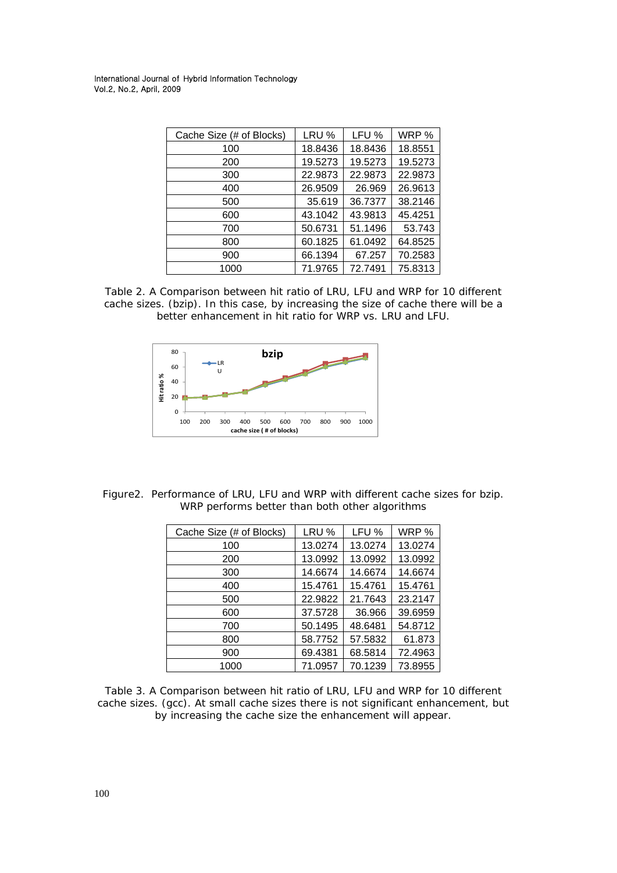| Cache Size (# of Blocks) | LRU %   | LFU %   | WRP %   |
|--------------------------|---------|---------|---------|
| 100                      | 18.8436 | 18.8436 | 18.8551 |
| 200                      | 19.5273 | 19.5273 | 19.5273 |
| 300                      | 22.9873 | 22.9873 | 22.9873 |
| 400                      | 26.9509 | 26.969  | 26.9613 |
| 500                      | 35.619  | 36.7377 | 38.2146 |
| 600                      | 43.1042 | 43.9813 | 45.4251 |
| 700                      | 50.6731 | 51.1496 | 53.743  |
| 800                      | 60.1825 | 61.0492 | 64.8525 |
| 900                      | 66.1394 | 67.257  | 70.2583 |
| 1000                     | 71.9765 | 72.7491 | 75.8313 |





Figure2. Performance of LRU, LFU and WRP with different cache sizes for *bzip*. WRP performs better than both other algorithms

| Cache Size (# of Blocks) | LRU %   | LFU %   | WRP %   |
|--------------------------|---------|---------|---------|
| 100                      | 13.0274 | 13.0274 | 13.0274 |
| 200                      | 13.0992 | 13.0992 | 13.0992 |
| 300                      | 14.6674 | 14.6674 | 14.6674 |
| 400                      | 15.4761 | 15.4761 | 15.4761 |
| 500                      | 22.9822 | 21.7643 | 23.2147 |
| 600                      | 37.5728 | 36.966  | 39.6959 |
| 700                      | 50.1495 | 48.6481 | 54.8712 |
| 800                      | 58.7752 | 57.5832 | 61.873  |
| 900                      | 69.4381 | 68.5814 | 72.4963 |
| 1000                     | 71.0957 | 70.1239 | 73.8955 |

Table 3. A Comparison between hit ratio of LRU, LFU and WRP for 10 different cache sizes. (*gcc*). At small cache sizes there is not significant enhancement, but by increasing the cache size the enhancement will appear.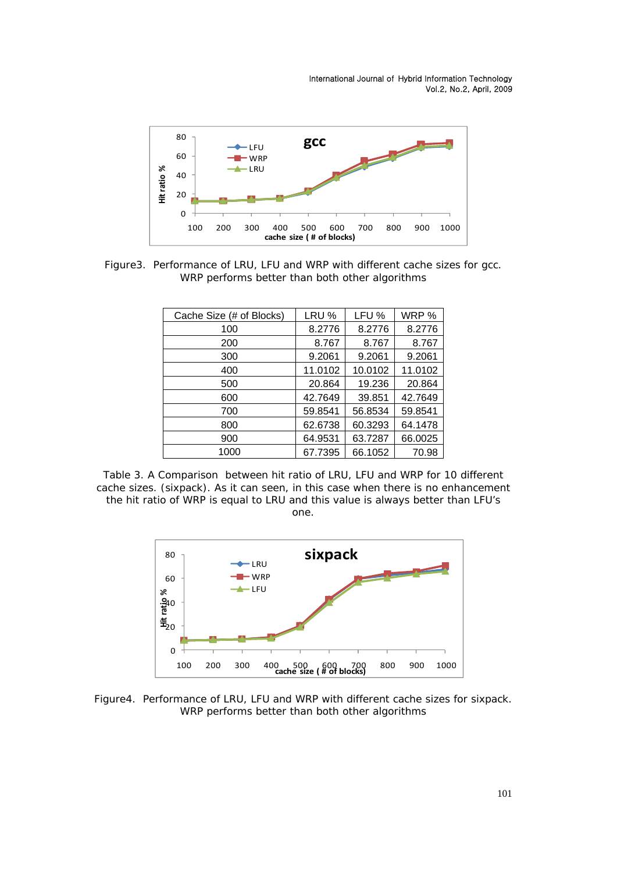

Figure3. Performance of LRU, LFU and WRP with different cache sizes for *gcc*. WRP performs better than both other algorithms

| Cache Size (# of Blocks) | LRU %   | LFU %   | WRP %   |
|--------------------------|---------|---------|---------|
| 100                      | 8.2776  | 8.2776  | 8.2776  |
| 200                      | 8.767   | 8.767   | 8.767   |
| 300                      | 9.2061  | 9.2061  | 9.2061  |
| 400                      | 11.0102 | 10.0102 | 11.0102 |
| 500                      | 20.864  | 19.236  | 20.864  |
| 600                      | 42.7649 | 39.851  | 42.7649 |
| 700                      | 59.8541 | 56.8534 | 59.8541 |
| 800                      | 62.6738 | 60.3293 | 64.1478 |
| 900                      | 64.9531 | 63.7287 | 66.0025 |
| 1000                     | 67.7395 | 66.1052 | 70.98   |

Table 3. A Comparison between hit ratio of LRU, LFU and WRP for 10 different cache sizes. (*sixpack*). As it can seen, in this case when there is no enhancement the hit ratio of WRP is equal to LRU and this value is always better than LFU's one.



Figure4. Performance of LRU, LFU and WRP with different cache sizes for *sixpack*. WRP performs better than both other algorithms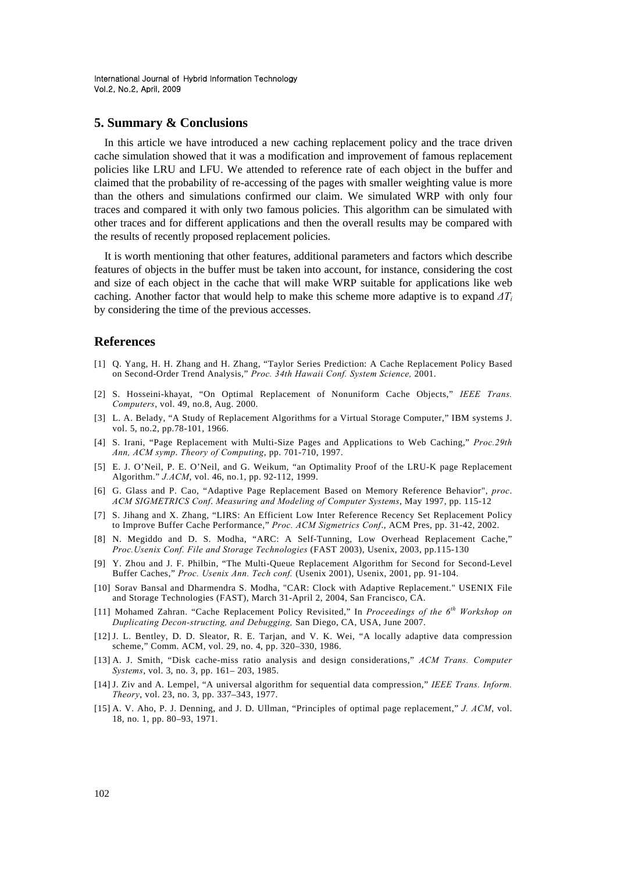### **5. Summary & Conclusions**

In this article we have introduced a new caching replacement policy and the trace driven cache simulation showed that it was a modification and improvement of famous replacement policies like LRU and LFU. We attended to reference rate of each object in the buffer and claimed that the probability of re-accessing of the pages with smaller weighting value is more than the others and simulations confirmed our claim. We simulated WRP with only four traces and compared it with only two famous policies. This algorithm can be simulated with other traces and for different applications and then the overall results may be compared with the results of recently proposed replacement policies.

It is worth mentioning that other features, additional parameters and factors which describe features of objects in the buffer must be taken into account, for instance, considering the cost and size of each object in the cache that will make WRP suitable for applications like web caching. Another factor that would help to make this scheme more adaptive is to expand *ΔTi* by considering the time of the previous accesses.

### **References**

- [1] Q. Yang, H. H. Zhang and H. Zhang, "Taylor Series Prediction: A Cache Replacement Policy Based on Second-Order Trend Analysis," *Proc. 34th Hawaii Conf. System Science,* 2001.
- [2] S. Hosseini-khayat, "On Optimal Replacement of Nonuniform Cache Objects," *IEEE Trans. Computers*, vol. 49, no.8, Aug. 2000.
- [3] L. A. Belady, "A Study of Replacement Algorithms for a Virtual Storage Computer," IBM systems J. vol. 5, no.2, pp.78-101, 1966.
- [4] S. Irani, "Page Replacement with Multi-Size Pages and Applications to Web Caching," *Proc.29th Ann, ACM symp*. *Theory of Computing*, pp. 701-710, 1997.
- [5] E. J. O'Neil, P. E. O'Neil, and G. Weikum, "an Optimality Proof of the LRU-K page Replacement Algorithm." *J.ACM*, vol. 46, no.1, pp. 92-112, 1999.
- [6] G. Glass and P. Cao, "Adaptive Page Replacement Based on Memory Reference Behavior", *proc*. *ACM SIGMETRICS Conf*. *Measuring and Modeling of Computer Systems*, May 1997, pp. 115-12
- [7] S. Jihang and X. Zhang, "LIRS: An Efficient Low Inter Reference Recency Set Replacement Policy to Improve Buffer Cache Performance," *Proc. ACM Sigmetrics Conf*., ACM Pres, pp. 31-42, 2002.
- [8] N. Megiddo and D. S. Modha, "ARC: A Self-Tunning, Low Overhead Replacement Cache," *Proc.Usenix Conf. File and Storage Technologies* (FAST 2003), Usenix, 2003, pp.115-130
- [9] Y. Zhou and J. F. Philbin, "The Multi-Queue Replacement Algorithm for Second for Second-Level Buffer Caches," *Proc. Usenix Ann. Tech conf.* (Usenix 2001), Usenix, 2001, pp. 91-104.
- [10] Sorav Bansal and Dharmendra S. Modha, "CAR: Clock with Adaptive Replacement." USENIX File and Storage Technologies (FAST), March 31-April 2, 2004, San Francisco, CA.
- [11] Mohamed Zahran. "Cache Replacement Policy Revisited," In *Proceedings of the 6th Workshop on Duplicating Decon-structing, and Debugging,* San Diego, CA, USA, June 2007.
- [12] J. L. Bentley, D. D. Sleator, R. E. Tarjan, and V. K. Wei, "A locally adaptive data compression scheme," Comm. ACM, vol. 29, no. 4, pp. 320–330, 1986.
- [13] A. J. Smith, "Disk cache-miss ratio analysis and design considerations," *ACM Trans. Computer Systems*, vol. 3, no. 3, pp. 161– 203, 1985.
- [14] J. Ziv and A. Lempel, "A universal algorithm for sequential data compression," *IEEE Trans. Inform. Theory*, vol. 23, no. 3, pp. 337–343, 1977.
- [15] A. V. Aho, P. J. Denning, and J. D. Ullman, "Principles of optimal page replacement," *J. ACM*, vol. 18, no. 1, pp. 80–93, 1971.